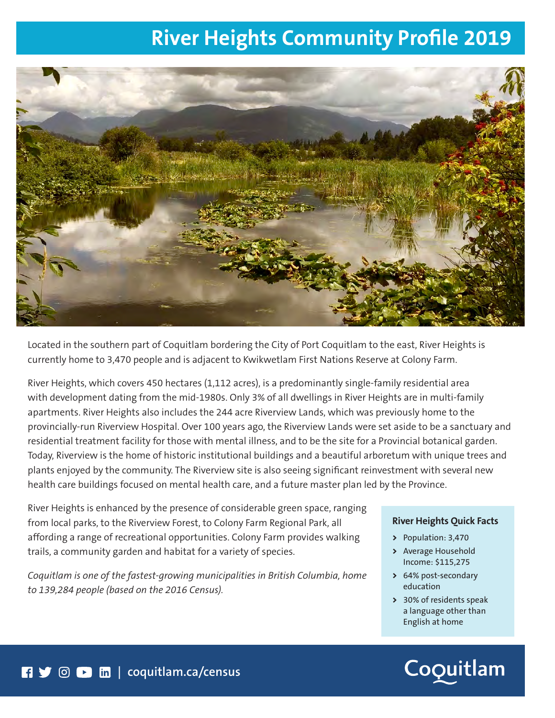## **River Heights Community Profile 2019**



Located in the southern part of Coquitlam bordering the City of Port Coquitlam to the east, River Heights is currently home to 3,470 people and is adjacent to Kwikwetlam First Nations Reserve at Colony Farm.

River Heights, which covers 450 hectares (1,112 acres), is a predominantly single-family residential area with development dating from the mid-1980s. Only 3% of all dwellings in River Heights are in multi-family apartments. River Heights also includes the 244 acre Riverview Lands, which was previously home to the provincially-run Riverview Hospital. Over 100 years ago, the Riverview Lands were set aside to be a sanctuary and residential treatment facility for those with mental illness, and to be the site for a Provincial botanical garden. Today, Riverview is the home of historic institutional buildings and a beautiful arboretum with unique trees and plants enjoyed by the community. The Riverview site is also seeing significant reinvestment with several new health care buildings focused on mental health care, and a future master plan led by the Province.

River Heights is enhanced by the presence of considerable green space, ranging from local parks, to the Riverview Forest, to Colony Farm Regional Park, all affording a range of recreational opportunities. Colony Farm provides walking trails, a community garden and habitat for a variety of species.

*Coquitlam is one of the fastest-growing municipalities in British Columbia, home to 139,284 people (based on the 2016 Census).* 

#### **River Heights Quick Facts**

- **>** Population: 3,470
- **>** Average Household Income: \$115,275
- **>** 64% post-secondary education
- **>** 30% of residents speak a language other than English at home

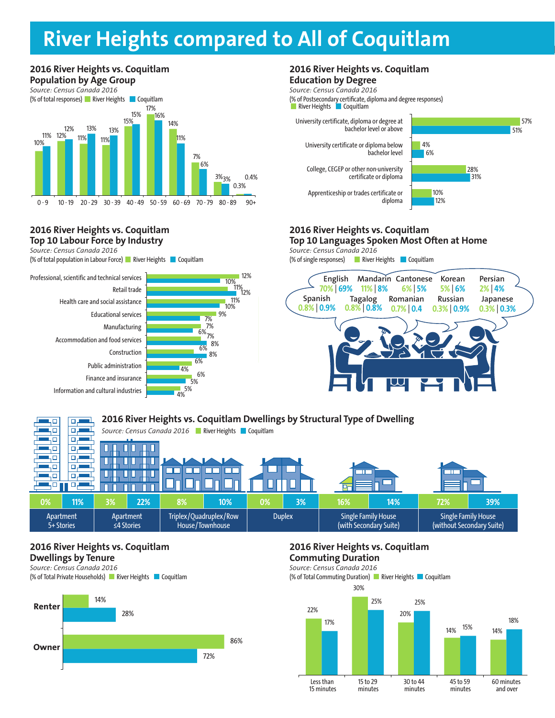# **2016 City Centre vs. Coquitlam Population by Age Group River Heights compared to All of Coquitlam**



#### **2016 River Heights vs. Coquitlam Top 10 Labour Force by Industry**

*Source: Census Canada 2016*

(% of total population in Labour Force) River Heights Coquitlam





#### **2016 River Heights vs. Coquitlam Education by Degree**

*Source: Census Canada 2016*

(% of Postsecondary certificate, diploma and degree responses) River Heights **Coquitlam** 

University certificate, diploma or degree at bachelor level or above

College, CEGEP or other non-university certificate or diploma

University certificate or diploma below

Apprenticeship or trades certificate or diploma



57%

### **2016 River Heights vs. Coquitlam**

**Top 10 Languages Spoken Most Often at Home BUSINESS BUSINESS**

bachelor level

*Source: Census Canada 2016* **BUSINESS**

(% of single responses) River Heights Coquitlam





### **2016 River Heights vs. Coquitlam Dwellings by Tenure**

*Source: Census Canada 2016* (% of Total Private Households) River Heights Coquitlam



#### **2016 River Heights vs. Coquitlam Commuting Duration**

*Source: Census Canada 2016* (% of Total Commuting Duration) River Heights Coquitlam

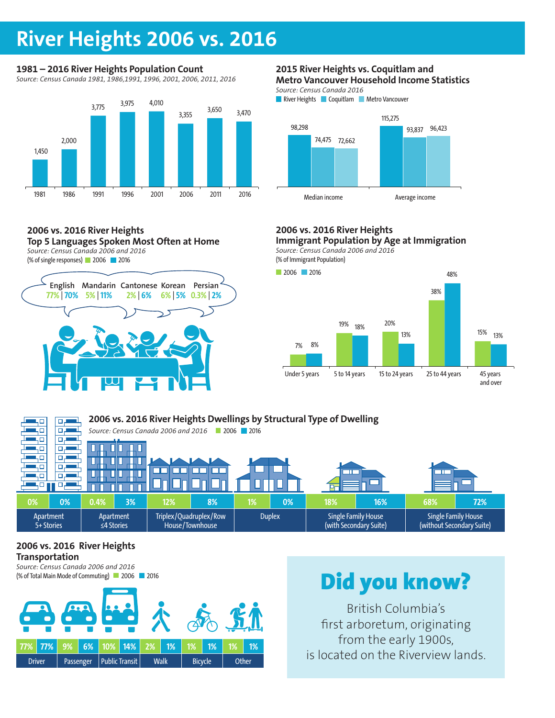### **River Heights 2006 vs. 2016**

### **1981 – 2016 River Heights Population Count**

*Source: Census Canada 1981, 1986,1991, 1996, 2001, 2006, 2011, 2016*



#### **2006 vs. 2016 River Heights Top 5 Languages Spoken Most Often at Home**

*Source: Census Canada 2006 and 2016*

(% of single responses) 2006 2016



#### **2015 River Heights vs. Coquitlam and Metro Vancouver Household Income Statistics**

*Source: Census Canada 2016*



### **2006 vs. 2016 River Heights**

**Immigrant Population by Age at Immigration** *Source: Census Canada 2006 and 2016* **BUSINESS**

(% of Immigrant Population)



#### **2006 vs. 2016 River Heights Dwellings by Structural Type of Dwelling**   $\Box$ - 0 пp *Source: Census Canada 2006 and 2016* 2006 2016 цο цα بر ص ĻО वर П П L Ш ЦÓ क П П Ш U ┓ ЦΩ  $\Box$ ┱  $\Box$  $\Box$ F П П цo  $\Box$ 40. 모년 П П **0% 0% 0.4% 3% 12% 8% 1% 0% 18% 16% 68% 72%** Apartment Apartment Triplex/Quadruplex/Row Duplex | Single Family House Single Family House 5+ Stories ≤4 Stories House/Townhouse (with Secondary Suite) (without Secondary Suite)

### **2006 vs. 2016 River Heights Transportation**

*Source: Census Canada 2006 and 2016* (% of Total Main Mode of Commuting) 2006 2016



# Did you know?

British Columbia's first arboretum, originating from the early 1900s, is located on the Riverview lands.